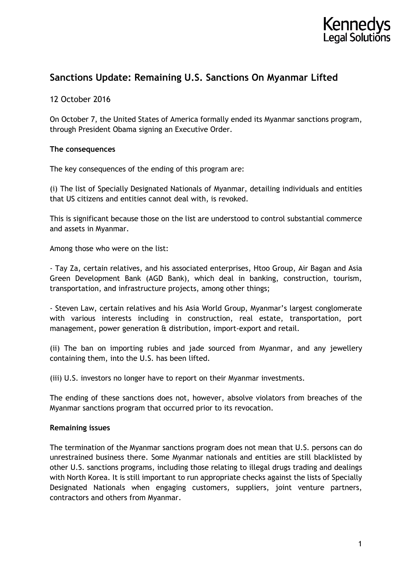

# **Sanctions Update: Remaining U.S. Sanctions On Myanmar Lifted**

## 12 October 2016

On October 7, the United States of America formally ended its Myanmar sanctions program, through President Obama signing an Executive Order.

#### **The consequences**

The key consequences of the ending of this program are:

(i) The list of Specially Designated Nationals of Myanmar, detailing individuals and entities that US citizens and entities cannot deal with, is revoked.

This is significant because those on the list are understood to control substantial commerce and assets in Myanmar.

Among those who were on the list:

- Tay Za, certain relatives, and his associated enterprises, Htoo Group, Air Bagan and Asia Green Development Bank (AGD Bank), which deal in banking, construction, tourism, transportation, and infrastructure projects, among other things;

- Steven Law, certain relatives and his Asia World Group, Myanmar's largest conglomerate with various interests including in construction, real estate, transportation, port management, power generation & distribution, import-export and retail.

(ii) The ban on importing rubies and jade sourced from Myanmar, and any jewellery containing them, into the U.S. has been lifted.

(iii) U.S. investors no longer have to report on their Myanmar investments.

The ending of these sanctions does not, however, absolve violators from breaches of the Myanmar sanctions program that occurred prior to its revocation.

#### **Remaining issues**

The termination of the Myanmar sanctions program does not mean that U.S. persons can do unrestrained business there. Some Myanmar nationals and entities are still blacklisted by other U.S. sanctions programs, including those relating to illegal drugs trading and dealings with North Korea. It is still important to run appropriate checks against the lists of Specially Designated Nationals when engaging customers, suppliers, joint venture partners, contractors and others from Myanmar.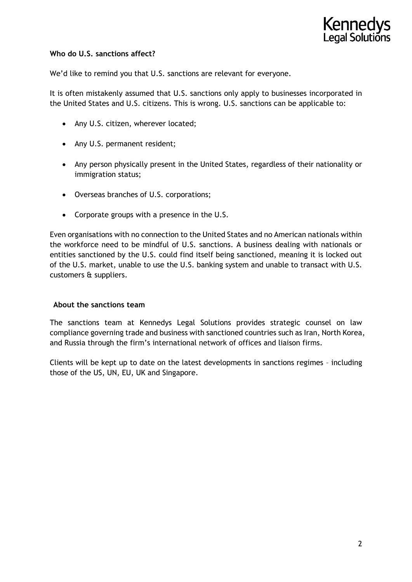

### **Who do U.S. sanctions affect?**

We'd like to remind you that U.S. sanctions are relevant for everyone.

It is often mistakenly assumed that U.S. sanctions only apply to businesses incorporated in the United States and U.S. citizens. This is wrong. U.S. sanctions can be applicable to:

- Any U.S. citizen, wherever located;
- Any U.S. permanent resident;
- Any person physically present in the United States, regardless of their nationality or immigration status;
- Overseas branches of U.S. corporations;
- Corporate groups with a presence in the U.S.

Even organisations with no connection to the United States and no American nationals within the workforce need to be mindful of U.S. sanctions. A business dealing with nationals or entities sanctioned by the U.S. could find itself being sanctioned, meaning it is locked out of the U.S. market, unable to use the U.S. banking system and unable to transact with U.S. customers & suppliers.

#### **About the sanctions team**

The sanctions team at Kennedys Legal Solutions provides strategic counsel on law compliance governing trade and business with sanctioned countries such as Iran, North Korea, and Russia through the firm's international network of offices and liaison firms.

Clients will be kept up to date on the latest developments in sanctions regimes – including those of the US, UN, EU, UK and Singapore.